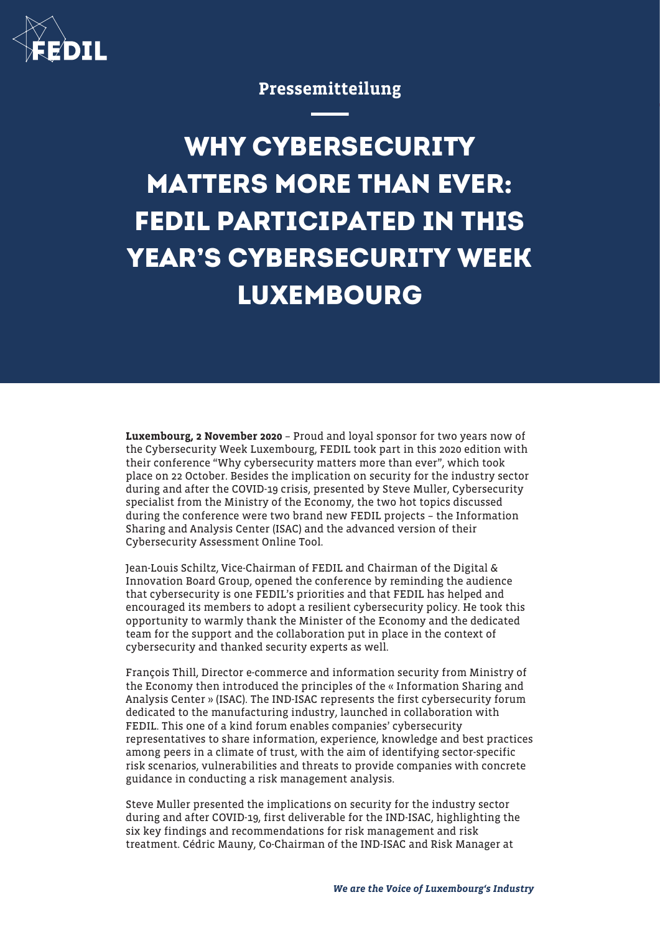

## Pressemitteilung

**WHY CYBERSECURITY MATTERS MORE THAN EVER: FEDIL PARTICIPATED IN THIS YEAR'S CYBERSECURITY WEEK LUXEMBOURG**

Luxembourg, 2 November 2020 – Proud and loyal sponsor for two years now of the Cybersecurity Week Luxembourg, FEDIL took part in this 2020 edition with their conference "Why cybersecurity matters more than ever", which took place on 22 October. Besides the implication on security for the industry sector during and after the COVID-19 crisis, presented by Steve Muller, Cybersecurity specialist from the Ministry of the Economy, the two hot topics discussed during the conference were two brand new FEDIL projects – the Information Sharing and Analysis Center (ISAC) and the advanced version of their Cybersecurity Assessment Online Tool.

Jean-Louis Schiltz, Vice-Chairman of FEDIL and Chairman of the Digital & Innovation Board Group, opened the conference by reminding the audience that cybersecurity is one FEDIL's priorities and that FEDIL has helped and encouraged its members to adopt a resilient cybersecurity policy. He took this opportunity to warmly thank the Minister of the Economy and the dedicated team for the support and the collaboration put in place in the context of cybersecurity and thanked security experts as well.

François Thill, Director e-commerce and information security from Ministry of the Economy then introduced the principles of the « Information Sharing and Analysis Center » (ISAC). The IND-ISAC represents the first cybersecurity forum dedicated to the manufacturing industry, launched in collaboration with FEDIL. This one of a kind forum enables companies' cybersecurity representatives to share information, experience, knowledge and best practices among peers in a climate of trust, with the aim of identifying sector-specific risk scenarios, vulnerabilities and threats to provide companies with concrete guidance in conducting a risk management analysis.

Steve Muller presented the implications on security for the industry sector during and after COVID-19, first deliverable for the IND-ISAC, highlighting the six key findings and recommendations for risk management and risk treatment. Cédric Mauny, Co-Chairman of the IND-ISAC and Risk Manager at